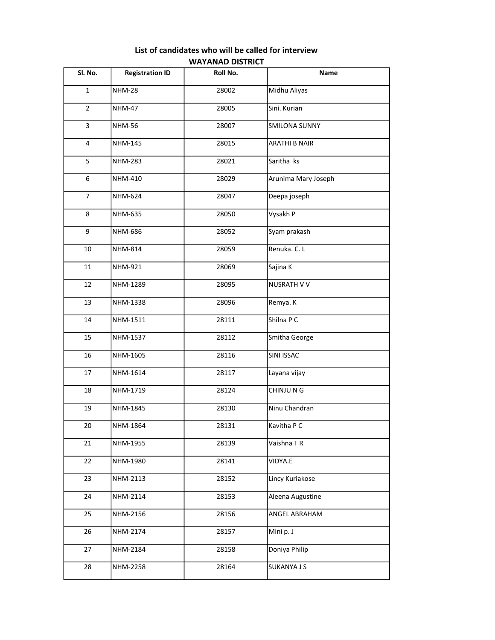| Sl. No.        | <b>Registration ID</b> | Roll No. | Name                 |
|----------------|------------------------|----------|----------------------|
| $\mathbf{1}$   | <b>NHM-28</b>          | 28002    | Midhu Aliyas         |
| $\overline{2}$ | <b>NHM-47</b>          | 28005    | Sini. Kurian         |
| $\overline{3}$ | <b>NHM-56</b>          | 28007    | <b>SMILONA SUNNY</b> |
| 4              | NHM-145                | 28015    | <b>ARATHI B NAIR</b> |
| 5              | <b>NHM-283</b>         | 28021    | Saritha ks           |
| 6              | <b>NHM-410</b>         | 28029    | Arunima Mary Joseph  |
| $\overline{7}$ | NHM-624                | 28047    | Deepa joseph         |
| 8              | NHM-635                | 28050    | Vysakh P             |
| 9              | NHM-686                | 28052    | Syam prakash         |
| 10             | <b>NHM-814</b>         | 28059    | Renuka. C. L         |
| 11             | NHM-921                | 28069    | Sajina K             |
| 12             | NHM-1289               | 28095    | NUSRATH V V          |
| 13             | NHM-1338               | 28096    | Remya. K             |
| 14             | NHM-1511               | 28111    | Shilna P C           |
| 15             | NHM-1537               | 28112    | Smitha George        |
| 16             | NHM-1605               | 28116    | SINI ISSAC           |
| 17             | NHM-1614               | 28117    | Layana vijay         |
| 18             | NHM-1719               | 28124    | CHINJU N G           |
| 19             | NHM-1845               | 28130    | Ninu Chandran        |
| 20             | NHM-1864               | 28131    | Kavitha P C          |
| 21             | NHM-1955               | 28139    | Vaishna TR           |
| 22             | NHM-1980               | 28141    | VIDYA.E              |
| 23             | NHM-2113               | 28152    | Lincy Kuriakose      |
| 24             | NHM-2114               | 28153    | Aleena Augustine     |
| 25             | NHM-2156               | 28156    | ANGEL ABRAHAM        |
| 26             | NHM-2174               | 28157    | Mini p. J            |
| 27             | NHM-2184               | 28158    | Doniya Philip        |
| 28             | NHM-2258               | 28164    | <b>SUKANYA J S</b>   |

## List of candidates who will be called for interview WAYANAD DISTRICT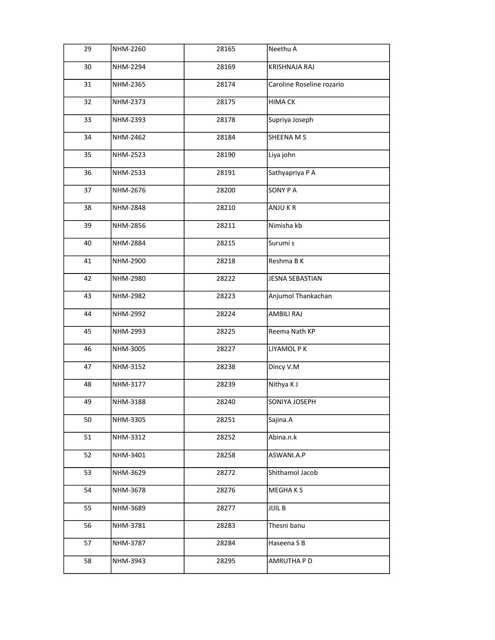| 29 | NHM-2260 | 28165 | Neethu A                  |
|----|----------|-------|---------------------------|
| 30 | NHM-2294 | 28169 | <b>KRISHNAJA RAJ</b>      |
| 31 | NHM-2365 | 28174 | Caroline Roseline rozario |
| 32 | NHM-2373 | 28175 | <b>HIMA CK</b>            |
| 33 | NHM-2393 | 28178 | Supriya Joseph            |
| 34 | NHM-2462 | 28184 | SHEENA M S                |
| 35 | NHM-2523 | 28190 | Liya john                 |
| 36 | NHM-2533 | 28191 | Sathyapriya P A           |
| 37 | NHM-2676 | 28200 | SONY PA                   |
| 38 | NHM-2848 | 28210 | ANJU KR                   |
| 39 | NHM-2856 | 28211 | Nimisha kb                |
| 40 | NHM-2884 | 28215 | Surumi s                  |
| 41 | NHM-2900 | 28218 | Reshma B K                |
| 42 | NHM-2980 | 28222 | JESNA SEBASTIAN           |
| 43 | NHM-2982 | 28223 | Anjumol Thankachan        |
| 44 | NHM-2992 | 28224 | AMBILI RAJ                |
| 45 | NHM-2993 | 28225 | Reema Nath KP             |
| 46 | NHM-3005 | 28227 | LIYAMOL P K               |
| 47 | NHM-3152 | 28238 | Dincy V.M                 |
| 48 | NHM-3177 | 28239 | Nithya K J                |
| 49 | NHM-3188 | 28240 | SONIYA JOSEPH             |
| 50 | NHM-3305 | 28251 | Sajina.A                  |
| 51 | NHM-3312 | 28252 | Abina.n.k                 |
| 52 | NHM-3401 | 28258 | ASWANI.A.P                |
| 53 | NHM-3629 | 28272 | Shithamol Jacob           |
| 54 | NHM-3678 | 28276 | <b>MEGHAKS</b>            |
| 55 | NHM-3689 | 28277 | JIJIL B                   |
| 56 | NHM-3781 | 28283 | Thesni banu               |
| 57 | NHM-3787 | 28284 | Haseena S B               |
| 58 | NHM-3943 | 28295 | AMRUTHA P D               |
|    |          |       |                           |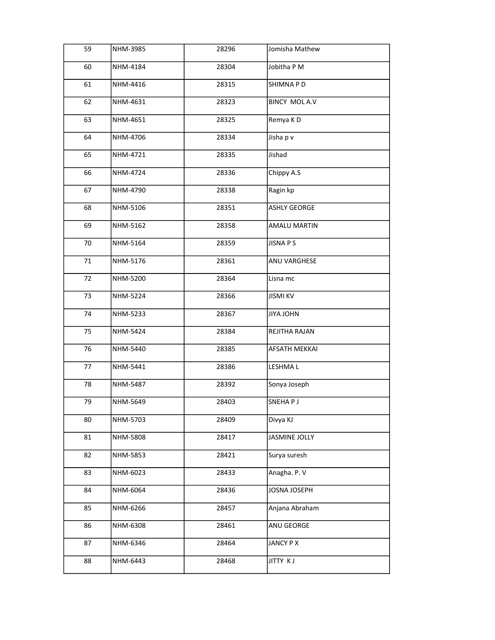| 59 | NHM-3985 | 28296 | Jomisha Mathew       |
|----|----------|-------|----------------------|
| 60 | NHM-4184 | 28304 | Jobitha P M          |
| 61 | NHM-4416 | 28315 | SHIMNA P D           |
| 62 | NHM-4631 | 28323 | <b>BINCY MOLA.V</b>  |
| 63 | NHM-4651 | 28325 | Remya KD             |
| 64 | NHM-4706 | 28334 | Jisha p v            |
| 65 | NHM-4721 | 28335 | Jishad               |
| 66 | NHM-4724 | 28336 | Chippy A.S           |
| 67 | NHM-4790 | 28338 | Ragin kp             |
| 68 | NHM-5106 | 28351 | <b>ASHLY GEORGE</b>  |
| 69 | NHM-5162 | 28358 | <b>AMALU MARTIN</b>  |
| 70 | NHM-5164 | 28359 | JISNA P S            |
| 71 | NHM-5176 | 28361 | ANU VARGHESE         |
| 72 | NHM-5200 | 28364 | Lisna mc             |
| 73 | NHM-5224 | 28366 | <b>JISMI KV</b>      |
| 74 | NHM-5233 | 28367 | JIYA JOHN            |
| 75 | NHM-5424 | 28384 | REJITHA RAJAN        |
| 76 | NHM-5440 | 28385 | AFSATH MEKKAI        |
| 77 | NHM-5441 | 28386 | <b>LESHMAL</b>       |
| 78 | NHM-5487 | 28392 | Sonya Joseph         |
| 79 | NHM-5649 | 28403 | SNEHAP J             |
| 80 | NHM-5703 | 28409 | Divya KJ             |
| 81 | NHM-5808 | 28417 | <b>JASMINE JOLLY</b> |
| 82 | NHM-5853 | 28421 | Surya suresh         |
| 83 | NHM-6023 | 28433 | Anagha. P. V         |
| 84 | NHM-6064 | 28436 | JOSNA JOSEPH         |
| 85 | NHM-6266 | 28457 | Anjana Abraham       |
| 86 | NHM-6308 | 28461 | ANU GEORGE           |
| 87 | NHM-6346 | 28464 | JANCY P X            |
| 88 | NHM-6443 | 28468 | <b>JITTY KJ</b>      |
|    |          |       |                      |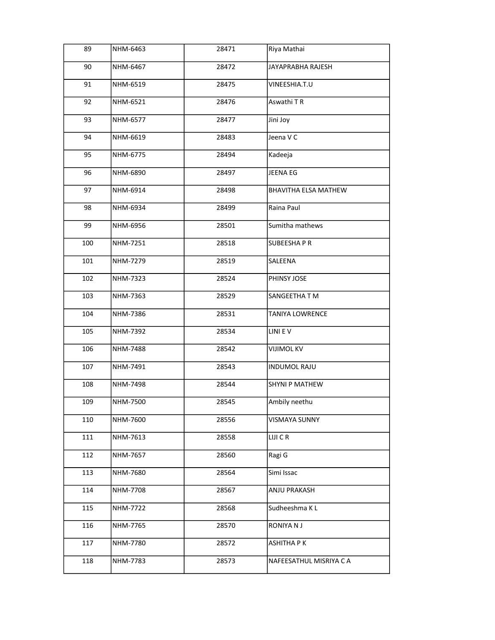| 89  | NHM-6463 | 28471 | Riya Mathai                 |
|-----|----------|-------|-----------------------------|
| 90  | NHM-6467 | 28472 | JAYAPRABHA RAJESH           |
| 91  | NHM-6519 | 28475 | VINEESHIA.T.U               |
| 92  | NHM-6521 | 28476 | Aswathi TR                  |
| 93  | NHM-6577 | 28477 | Jini Joy                    |
| 94  | NHM-6619 | 28483 | Jeena V C                   |
| 95  | NHM-6775 | 28494 | Kadeeja                     |
| 96  | NHM-6890 | 28497 | JEENA EG                    |
| 97  | NHM-6914 | 28498 | <b>BHAVITHA ELSA MATHEW</b> |
| 98  | NHM-6934 | 28499 | Raina Paul                  |
| 99  | NHM-6956 | 28501 | Sumitha mathews             |
| 100 | NHM-7251 | 28518 | <b>SUBEESHAPR</b>           |
| 101 | NHM-7279 | 28519 | SALEENA                     |
| 102 | NHM-7323 | 28524 | PHINSY JOSE                 |
| 103 | NHM-7363 | 28529 | SANGEETHA T M               |
| 104 | NHM-7386 | 28531 | <b>TANIYA LOWRENCE</b>      |
| 105 | NHM-7392 | 28534 | LINI EV                     |
| 106 | NHM-7488 | 28542 | <b>VIJIMOL KV</b>           |
| 107 | NHM-7491 | 28543 | <b>INDUMOL RAJU</b>         |
| 108 | NHM-7498 | 28544 | <b>SHYNI P MATHEW</b>       |
| 109 | NHM-7500 | 28545 | Ambily neethu               |
| 110 | NHM-7600 | 28556 | <b>VISMAYA SUNNY</b>        |
| 111 | NHM-7613 | 28558 | LIJI C R                    |
| 112 | NHM-7657 | 28560 | Ragi G                      |
| 113 | NHM-7680 | 28564 | Simi Issac                  |
| 114 | NHM-7708 | 28567 | ANJU PRAKASH                |
| 115 | NHM-7722 | 28568 | Sudheeshma K L              |
| 116 | NHM-7765 | 28570 | RONIYA N J                  |
| 117 | NHM-7780 | 28572 | <b>ASHITHA PK</b>           |
| 118 | NHM-7783 | 28573 | NAFEESATHUL MISRIYA C A     |
|     |          |       |                             |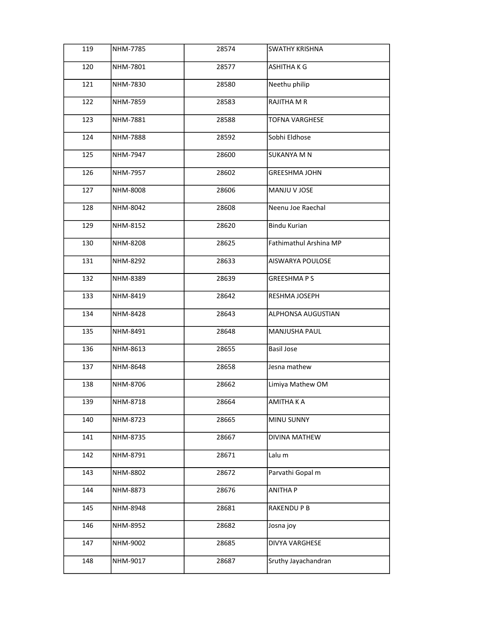| 119 | NHM-7785        | 28574 | <b>SWATHY KRISHNA</b>  |
|-----|-----------------|-------|------------------------|
| 120 | NHM-7801        | 28577 | ASHITHA K G            |
| 121 | NHM-7830        | 28580 | Neethu philip          |
| 122 | NHM-7859        | 28583 | RAJITHA M R            |
| 123 | NHM-7881        | 28588 | <b>TOFNA VARGHESE</b>  |
| 124 | <b>NHM-7888</b> | 28592 | Sobhi Eldhose          |
| 125 | NHM-7947        | 28600 | <b>SUKANYA M N</b>     |
| 126 | NHM-7957        | 28602 | <b>GREESHMA JOHN</b>   |
| 127 | NHM-8008        | 28606 | MANJU V JOSE           |
| 128 | NHM-8042        | 28608 | Neenu Joe Raechal      |
| 129 | NHM-8152        | 28620 | <b>Bindu Kurian</b>    |
| 130 | NHM-8208        | 28625 | Fathimathul Arshina MP |
| 131 | NHM-8292        | 28633 | AISWARYA POULOSE       |
| 132 | NHM-8389        | 28639 | <b>GREESHMAPS</b>      |
| 133 | NHM-8419        | 28642 | RESHMA JOSEPH          |
| 134 | NHM-8428        | 28643 | ALPHONSA AUGUSTIAN     |
| 135 | NHM-8491        | 28648 | MANJUSHA PAUL          |
| 136 | NHM-8613        | 28655 | <b>Basil Jose</b>      |
| 137 | NHM-8648        | 28658 | Jesna mathew           |
| 138 | NHM-8706        | 28662 | Limiya Mathew OM       |
| 139 | NHM-8718        | 28664 | AMITHA K A             |
| 140 | NHM-8723        | 28665 | MINU SUNNY             |
| 141 | NHM-8735        | 28667 | DIVINA MATHEW          |
| 142 | NHM-8791        | 28671 | Lalu m                 |
| 143 | NHM-8802        | 28672 | Parvathi Gopal m       |
| 144 | NHM-8873        | 28676 | <b>ANITHA P</b>        |
| 145 | NHM-8948        | 28681 | RAKENDU P B            |
| 146 | NHM-8952        | 28682 | Josna joy              |
| 147 | NHM-9002        | 28685 | DIVYA VARGHESE         |
| 148 | NHM-9017        | 28687 | Sruthy Jayachandran    |
|     |                 |       |                        |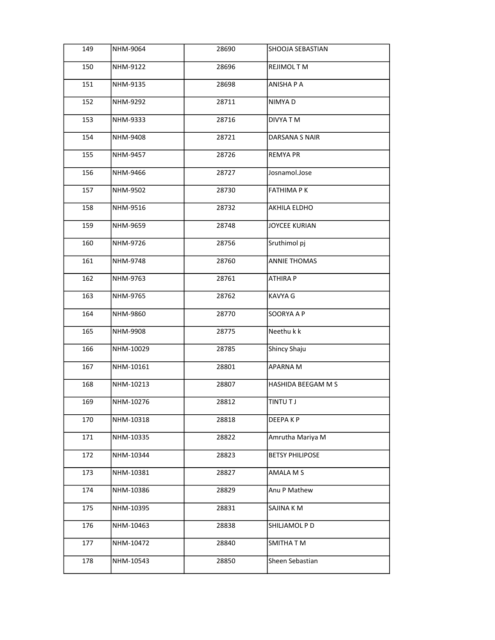| 149 | NHM-9064  | 28690 | <b>SHOOJA SEBASTIAN</b> |
|-----|-----------|-------|-------------------------|
| 150 | NHM-9122  | 28696 | REJIMOL TM              |
| 151 | NHM-9135  | 28698 | ANISHA P A              |
| 152 | NHM-9292  | 28711 | NIMYA D                 |
| 153 | NHM-9333  | 28716 | DIVYA TM                |
| 154 | NHM-9408  | 28721 | DARSANA S NAIR          |
| 155 | NHM-9457  | 28726 | <b>REMYA PR</b>         |
| 156 | NHM-9466  | 28727 | Josnamol.Jose           |
| 157 | NHM-9502  | 28730 | <b>FATHIMA PK</b>       |
| 158 | NHM-9516  | 28732 | AKHILA ELDHO            |
| 159 | NHM-9659  | 28748 | <b>JOYCEE KURIAN</b>    |
| 160 | NHM-9726  | 28756 | Sruthimol pj            |
| 161 | NHM-9748  | 28760 | <b>ANNIE THOMAS</b>     |
| 162 | NHM-9763  | 28761 | <b>ATHIRA P</b>         |
| 163 | NHM-9765  | 28762 | KAVYA G                 |
| 164 | NHM-9860  | 28770 | SOORYA A P              |
| 165 | NHM-9908  | 28775 | Neethu k k              |
| 166 | NHM-10029 | 28785 | Shincy Shaju            |
| 167 | NHM-10161 | 28801 | <b>APARNAM</b>          |
| 168 | NHM-10213 | 28807 | HASHIDA BEEGAM M S      |
| 169 | NHM-10276 | 28812 | <b>TINTUTJ</b>          |
| 170 | NHM-10318 | 28818 | DEEPA K P               |
| 171 | NHM-10335 | 28822 | Amrutha Mariya M        |
| 172 | NHM-10344 | 28823 | <b>BETSY PHILIPOSE</b>  |
| 173 | NHM-10381 | 28827 | AMALA M S               |
| 174 | NHM-10386 | 28829 | Anu P Mathew            |
| 175 | NHM-10395 | 28831 | SAJINA K M              |
| 176 | NHM-10463 | 28838 | SHILJAMOL P D           |
| 177 | NHM-10472 | 28840 | SMITHA T M              |
| 178 | NHM-10543 | 28850 | Sheen Sebastian         |
|     |           |       |                         |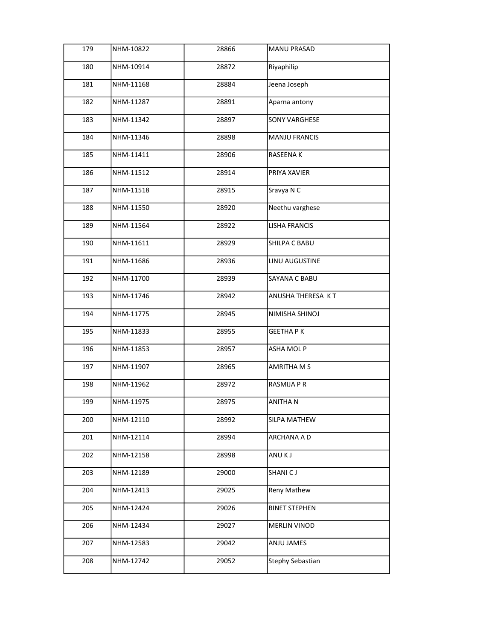| 179 | NHM-10822 | 28866 | <b>MANU PRASAD</b>   |
|-----|-----------|-------|----------------------|
| 180 | NHM-10914 | 28872 | Riyaphilip           |
| 181 | NHM-11168 | 28884 | Jeena Joseph         |
| 182 | NHM-11287 | 28891 | Aparna antony        |
| 183 | NHM-11342 | 28897 | <b>SONY VARGHESE</b> |
| 184 | NHM-11346 | 28898 | <b>MANJU FRANCIS</b> |
| 185 | NHM-11411 | 28906 | <b>RASEENAK</b>      |
| 186 | NHM-11512 | 28914 | PRIYA XAVIER         |
| 187 | NHM-11518 | 28915 | Sravya N C           |
| 188 | NHM-11550 | 28920 | Neethu varghese      |
| 189 | NHM-11564 | 28922 | <b>LISHA FRANCIS</b> |
| 190 | NHM-11611 | 28929 | SHILPA C BABU        |
| 191 | NHM-11686 | 28936 | LINU AUGUSTINE       |
| 192 | NHM-11700 | 28939 | SAYANA C BABU        |
| 193 | NHM-11746 | 28942 | ANUSHA THERESA KT    |
| 194 | NHM-11775 | 28945 | NIMISHA SHINOJ       |
| 195 | NHM-11833 | 28955 | <b>GEETHAPK</b>      |
| 196 | NHM-11853 | 28957 | ASHA MOL P           |
| 197 | NHM-11907 | 28965 | <b>AMRITHA M S</b>   |
| 198 | NHM-11962 | 28972 | RASMIJA P R          |
| 199 | NHM-11975 | 28975 | ANITHA N             |
| 200 | NHM-12110 | 28992 | SILPA MATHEW         |
| 201 | NHM-12114 | 28994 | ARCHANA A D          |
| 202 | NHM-12158 | 28998 | ANU K J              |
| 203 | NHM-12189 | 29000 | <b>SHANICJ</b>       |
| 204 | NHM-12413 | 29025 | Reny Mathew          |
| 205 | NHM-12424 | 29026 | <b>BINET STEPHEN</b> |
| 206 | NHM-12434 | 29027 | <b>MERLIN VINOD</b>  |
| 207 | NHM-12583 | 29042 | ANJU JAMES           |
| 208 | NHM-12742 | 29052 | Stephy Sebastian     |
|     |           |       |                      |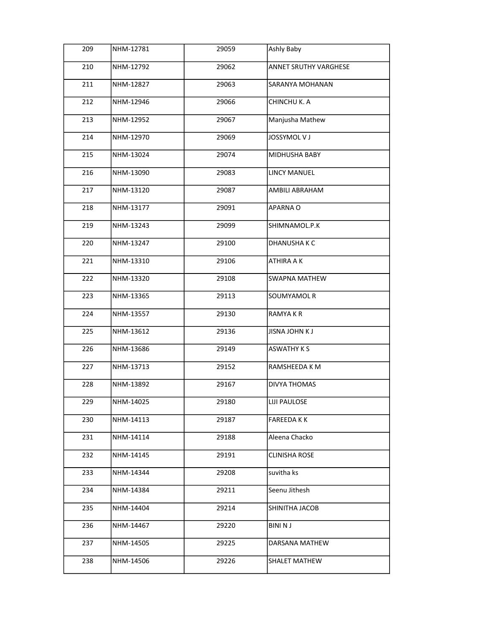| 209 | NHM-12781 | 29059 | Ashly Baby            |
|-----|-----------|-------|-----------------------|
| 210 | NHM-12792 | 29062 | ANNET SRUTHY VARGHESE |
| 211 | NHM-12827 | 29063 | SARANYA MOHANAN       |
| 212 | NHM-12946 | 29066 | CHINCHU K. A          |
| 213 | NHM-12952 | 29067 | Manjusha Mathew       |
| 214 | NHM-12970 | 29069 | JOSSYMOL V J          |
| 215 | NHM-13024 | 29074 | MIDHUSHA BABY         |
| 216 | NHM-13090 | 29083 | <b>LINCY MANUEL</b>   |
| 217 | NHM-13120 | 29087 | AMBILI ABRAHAM        |
| 218 | NHM-13177 | 29091 | APARNA O              |
| 219 | NHM-13243 | 29099 | SHIMNAMOL.P.K         |
| 220 | NHM-13247 | 29100 | DHANUSHA K C          |
| 221 | NHM-13310 | 29106 | ATHIRA A K            |
| 222 | NHM-13320 | 29108 | SWAPNA MATHEW         |
| 223 | NHM-13365 | 29113 | SOUMYAMOL R           |
| 224 | NHM-13557 | 29130 | <b>RAMYAKR</b>        |
| 225 | NHM-13612 | 29136 | <b>JISNA JOHN K J</b> |
| 226 | NHM-13686 | 29149 | <b>ASWATHY K S</b>    |
| 227 | NHM-13713 | 29152 | RAMSHEEDA K M         |
| 228 | NHM-13892 | 29167 | DIVYA THOMAS          |
| 229 | NHM-14025 | 29180 | <b>LIJI PAULOSE</b>   |
| 230 | NHM-14113 | 29187 | <b>FAREEDAKK</b>      |
| 231 | NHM-14114 | 29188 | Aleena Chacko         |
| 232 | NHM-14145 | 29191 | <b>CLINISHA ROSE</b>  |
| 233 | NHM-14344 | 29208 | suvitha ks            |
| 234 | NHM-14384 | 29211 | Seenu Jithesh         |
| 235 | NHM-14404 | 29214 | SHINITHA JACOB        |
| 236 | NHM-14467 | 29220 | <b>BINI N J</b>       |
| 237 | NHM-14505 | 29225 | DARSANA MATHEW        |
| 238 | NHM-14506 | 29226 | SHALET MATHEW         |
|     |           |       |                       |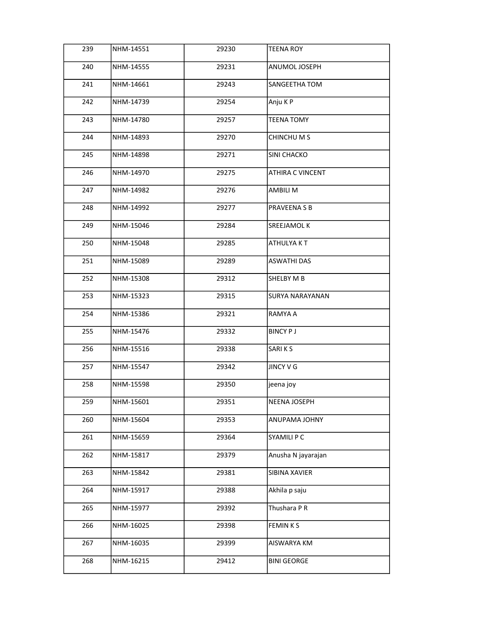| 239 | NHM-14551 | 29230 | TEENA ROY               |
|-----|-----------|-------|-------------------------|
| 240 | NHM-14555 | 29231 | ANUMOL JOSEPH           |
| 241 | NHM-14661 | 29243 | SANGEETHA TOM           |
| 242 | NHM-14739 | 29254 | Anju K P                |
| 243 | NHM-14780 | 29257 | <b>TEENA TOMY</b>       |
| 244 | NHM-14893 | 29270 | CHINCHU M S             |
| 245 | NHM-14898 | 29271 | SINI CHACKO             |
| 246 | NHM-14970 | 29275 | <b>ATHIRA C VINCENT</b> |
| 247 | NHM-14982 | 29276 | AMBILI M                |
| 248 | NHM-14992 | 29277 | PRAVEENA S B            |
| 249 | NHM-15046 | 29284 | <b>SREEJAMOL K</b>      |
| 250 | NHM-15048 | 29285 | <b>ATHULYAKT</b>        |
| 251 | NHM-15089 | 29289 | <b>ASWATHI DAS</b>      |
| 252 | NHM-15308 | 29312 | SHELBY M B              |
| 253 | NHM-15323 | 29315 | <b>SURYA NARAYANAN</b>  |
| 254 | NHM-15386 | 29321 | RAMYA A                 |
| 255 | NHM-15476 | 29332 | <b>BINCY PJ</b>         |
| 256 | NHM-15516 | 29338 | SARIKS                  |
| 257 | NHM-15547 | 29342 | JINCY V G               |
| 258 | NHM-15598 | 29350 | jeena joy               |
| 259 | NHM-15601 | 29351 | NEENA JOSEPH            |
| 260 | NHM-15604 | 29353 | ANUPAMA JOHNY           |
| 261 | NHM-15659 | 29364 | SYAMILI P C             |
| 262 | NHM-15817 | 29379 | Anusha N jayarajan      |
| 263 | NHM-15842 | 29381 | SIBINA XAVIER           |
| 264 | NHM-15917 | 29388 | Akhila p saju           |
| 265 | NHM-15977 | 29392 | Thushara P R            |
| 266 | NHM-16025 | 29398 | <b>FEMINKS</b>          |
| 267 | NHM-16035 | 29399 | AISWARYA KM             |
| 268 | NHM-16215 | 29412 | <b>BINI GEORGE</b>      |
|     |           |       |                         |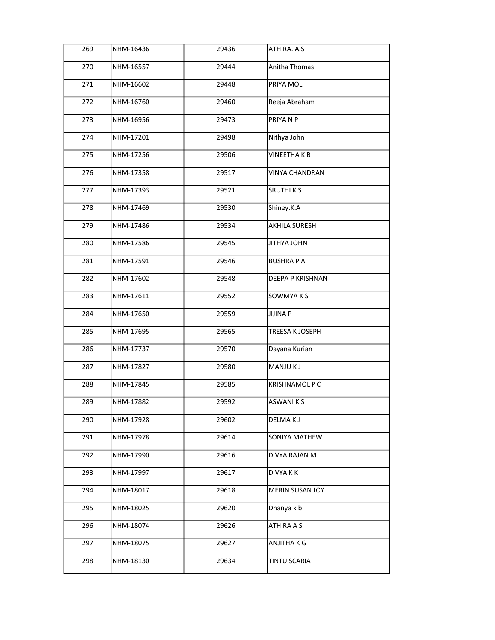| 269 | NHM-16436 | 29436 | ATHIRA. A.S           |
|-----|-----------|-------|-----------------------|
| 270 | NHM-16557 | 29444 | Anitha Thomas         |
| 271 | NHM-16602 | 29448 | PRIYA MOL             |
| 272 | NHM-16760 | 29460 | Reeja Abraham         |
| 273 | NHM-16956 | 29473 | PRIYANP               |
| 274 | NHM-17201 | 29498 | Nithya John           |
| 275 | NHM-17256 | 29506 | <b>VINEETHAKB</b>     |
| 276 | NHM-17358 | 29517 | VINYA CHANDRAN        |
| 277 | NHM-17393 | 29521 | <b>SRUTHIKS</b>       |
| 278 | NHM-17469 | 29530 | Shiney.K.A            |
| 279 | NHM-17486 | 29534 | <b>AKHILA SURESH</b>  |
| 280 | NHM-17586 | 29545 | JITHYA JOHN           |
| 281 | NHM-17591 | 29546 | <b>BUSHRAPA</b>       |
| 282 | NHM-17602 | 29548 | DEEPA P KRISHNAN      |
| 283 | NHM-17611 | 29552 | SOWMYA K S            |
| 284 | NHM-17650 | 29559 | <b>JIJINA P</b>       |
| 285 | NHM-17695 | 29565 | TREESA K JOSEPH       |
| 286 | NHM-17737 | 29570 | Dayana Kurian         |
| 287 | NHM-17827 | 29580 | MANJU K J             |
| 288 | NHM-17845 | 29585 | <b>KRISHNAMOL P C</b> |
| 289 | NHM-17882 | 29592 | <b>ASWANIKS</b>       |
| 290 | NHM-17928 | 29602 | DELMA K J             |
| 291 | NHM-17978 | 29614 | SONIYA MATHEW         |
| 292 | NHM-17990 | 29616 | DIVYA RAJAN M         |
| 293 | NHM-17997 | 29617 | <b>DIVYAKK</b>        |
| 294 | NHM-18017 | 29618 | MERIN SUSAN JOY       |
| 295 | NHM-18025 | 29620 | Dhanya k b            |
| 296 | NHM-18074 | 29626 | ATHIRA A S            |
| 297 | NHM-18075 | 29627 | ANJITHA K G           |
| 298 | NHM-18130 | 29634 | TINTU SCARIA          |
|     |           |       |                       |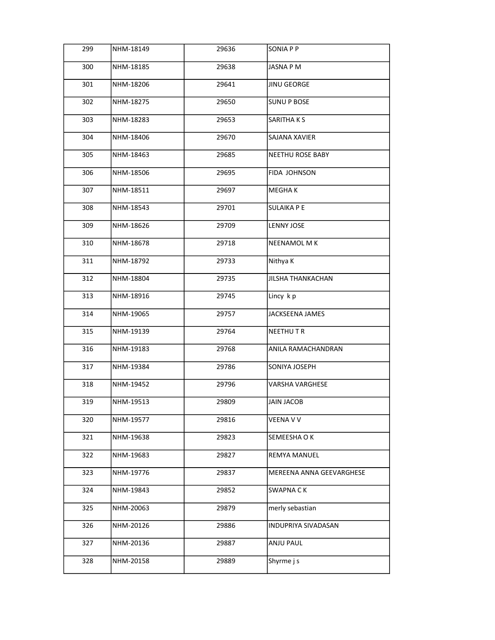| 299 | NHM-18149 | 29636 | <b>SONIA P P</b>         |
|-----|-----------|-------|--------------------------|
| 300 | NHM-18185 | 29638 | JASNA P M                |
| 301 | NHM-18206 | 29641 | JINU GEORGE              |
| 302 | NHM-18275 | 29650 | <b>SUNU P BOSE</b>       |
| 303 | NHM-18283 | 29653 | <b>SARITHAKS</b>         |
| 304 | NHM-18406 | 29670 | SAJANA XAVIER            |
| 305 | NHM-18463 | 29685 | <b>NEETHU ROSE BABY</b>  |
| 306 | NHM-18506 | 29695 | FIDA JOHNSON             |
| 307 | NHM-18511 | 29697 | MEGHA K                  |
| 308 | NHM-18543 | 29701 | <b>SULAIKA P E</b>       |
| 309 | NHM-18626 | 29709 | <b>LENNY JOSE</b>        |
| 310 | NHM-18678 | 29718 | NEENAMOL M K             |
| 311 | NHM-18792 | 29733 | Nithya K                 |
| 312 | NHM-18804 | 29735 | <b>JILSHA THANKACHAN</b> |
| 313 | NHM-18916 | 29745 | Lincy kp                 |
| 314 | NHM-19065 | 29757 | JACKSEENA JAMES          |
| 315 | NHM-19139 | 29764 | <b>NEETHUTR</b>          |
| 316 | NHM-19183 | 29768 | ANILA RAMACHANDRAN       |
| 317 | NHM-19384 | 29786 | SONIYA JOSEPH            |
| 318 | NHM-19452 | 29796 | VARSHA VARGHESE          |
| 319 | NHM-19513 | 29809 | JAIN JACOB               |
| 320 | NHM-19577 | 29816 | VEENA V V                |
| 321 | NHM-19638 | 29823 | SEMEESHA O K             |
| 322 | NHM-19683 | 29827 | REMYA MANUEL             |
| 323 | NHM-19776 | 29837 | MEREENA ANNA GEEVARGHESE |
| 324 | NHM-19843 | 29852 | <b>SWAPNACK</b>          |
| 325 | NHM-20063 | 29879 | merly sebastian          |
| 326 | NHM-20126 | 29886 | INDUPRIYA SIVADASAN      |
| 327 | NHM-20136 | 29887 | ANJU PAUL                |
| 328 | NHM-20158 | 29889 | Shyrme j s               |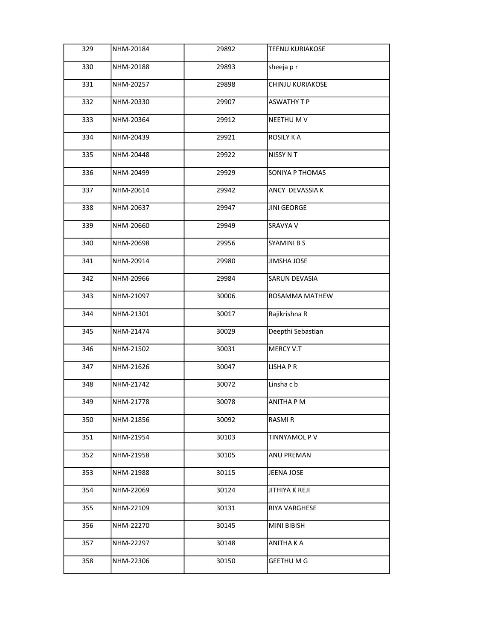| 329 | NHM-20184 | 29892 | TEENU KURIAKOSE    |
|-----|-----------|-------|--------------------|
| 330 | NHM-20188 | 29893 | sheeja pr          |
| 331 | NHM-20257 | 29898 | CHINJU KURIAKOSE   |
| 332 | NHM-20330 | 29907 | <b>ASWATHY T P</b> |
| 333 | NHM-20364 | 29912 | NEETHU M V         |
| 334 | NHM-20439 | 29921 | <b>ROSILY K A</b>  |
| 335 | NHM-20448 | 29922 | NISSY N T          |
| 336 | NHM-20499 | 29929 | SONIYA P THOMAS    |
| 337 | NHM-20614 | 29942 | ANCY DEVASSIA K    |
| 338 | NHM-20637 | 29947 | JINI GEORGE        |
| 339 | NHM-20660 | 29949 | SRAVYA V           |
| 340 | NHM-20698 | 29956 | <b>SYAMINI B S</b> |
| 341 | NHM-20914 | 29980 | JIMSHA JOSE        |
| 342 | NHM-20966 | 29984 | SARUN DEVASIA      |
| 343 | NHM-21097 | 30006 | ROSAMMA MATHEW     |
| 344 | NHM-21301 | 30017 | Rajikrishna R      |
| 345 | NHM-21474 | 30029 | Deepthi Sebastian  |
| 346 | NHM-21502 | 30031 | <b>MERCY V.T</b>   |
| 347 | NHM-21626 | 30047 | LISHA P R          |
| 348 | NHM-21742 | 30072 | Linsha c b         |
| 349 | NHM-21778 | 30078 | ANITHA P M         |
| 350 | NHM-21856 | 30092 | RASMI R            |
| 351 | NHM-21954 | 30103 | TINNYAMOL P V      |
| 352 | NHM-21958 | 30105 | ANU PREMAN         |
| 353 | NHM-21988 | 30115 | JEENA JOSE         |
| 354 | NHM-22069 | 30124 | JITHIYA K REJI     |
| 355 | NHM-22109 | 30131 | RIYA VARGHESE      |
| 356 | NHM-22270 | 30145 | MINI BIBISH        |
| 357 | NHM-22297 | 30148 | ANITHA K A         |
| 358 | NHM-22306 | 30150 | <b>GEETHU M G</b>  |
|     |           |       |                    |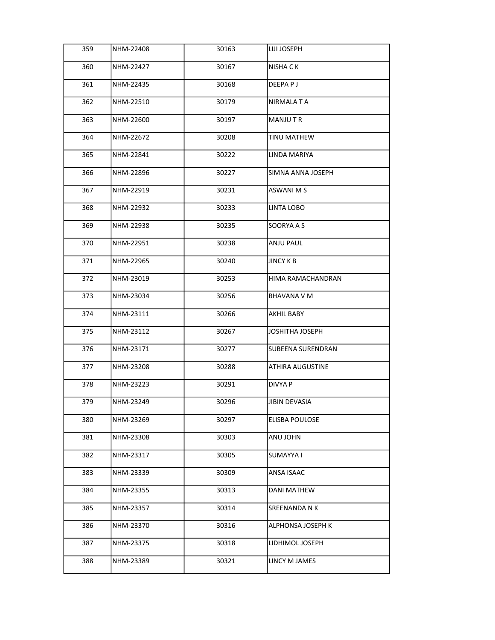| 359 | NHM-22408 | 30163 | <b>LIJI JOSEPH</b>       |
|-----|-----------|-------|--------------------------|
| 360 | NHM-22427 | 30167 | NISHA C K                |
| 361 | NHM-22435 | 30168 | DEEPA P J                |
| 362 | NHM-22510 | 30179 | NIRMALA T A              |
| 363 | NHM-22600 | 30197 | <b>MANJUTR</b>           |
| 364 | NHM-22672 | 30208 | TINU MATHEW              |
| 365 | NHM-22841 | 30222 | LINDA MARIYA             |
| 366 | NHM-22896 | 30227 | SIMNA ANNA JOSEPH        |
| 367 | NHM-22919 | 30231 | <b>ASWANI M S</b>        |
| 368 | NHM-22932 | 30233 | LINTA LOBO               |
| 369 | NHM-22938 | 30235 | SOORYA A S               |
| 370 | NHM-22951 | 30238 | <b>ANJU PAUL</b>         |
| 371 | NHM-22965 | 30240 | <b>JINCY K B</b>         |
| 372 | NHM-23019 | 30253 | HIMA RAMACHANDRAN        |
| 373 | NHM-23034 | 30256 | <b>BHAVANA V M</b>       |
| 374 | NHM-23111 | 30266 | AKHIL BABY               |
| 375 | NHM-23112 | 30267 | JOSHITHA JOSEPH          |
| 376 | NHM-23171 | 30277 | <b>SUBEENA SURENDRAN</b> |
| 377 | NHM-23208 | 30288 | <b>ATHIRA AUGUSTINE</b>  |
| 378 | NHM-23223 | 30291 | <b>DIVYA P</b>           |
| 379 | NHM-23249 | 30296 | JIBIN DEVASIA            |
| 380 | NHM-23269 | 30297 | ELISBA POULOSE           |
| 381 | NHM-23308 | 30303 | ANU JOHN                 |
| 382 | NHM-23317 | 30305 | SUMAYYA I                |
| 383 | NHM-23339 | 30309 | <b>ANSA ISAAC</b>        |
| 384 | NHM-23355 | 30313 | DANI MATHEW              |
| 385 | NHM-23357 | 30314 | SREENANDA N K            |
| 386 | NHM-23370 | 30316 | ALPHONSA JOSEPH K        |
| 387 | NHM-23375 | 30318 | LIDHIMOL JOSEPH          |
| 388 | NHM-23389 | 30321 | LINCY M JAMES            |
|     |           |       |                          |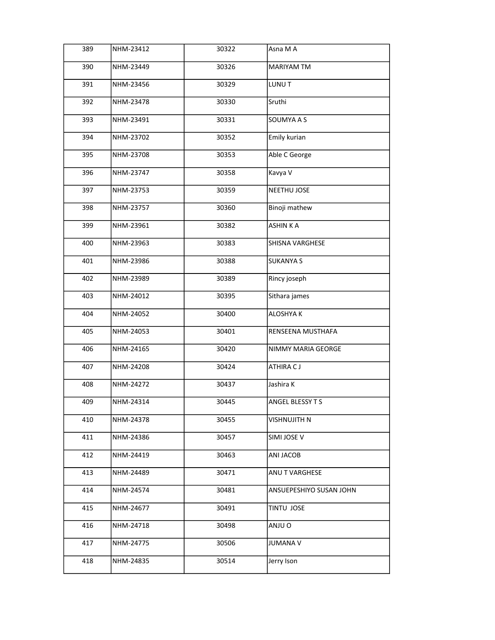| 389 | NHM-23412 | 30322 | Asna M A                |
|-----|-----------|-------|-------------------------|
| 390 | NHM-23449 | 30326 | <b>MARIYAM TM</b>       |
| 391 | NHM-23456 | 30329 | LUNU T                  |
| 392 | NHM-23478 | 30330 | Sruthi                  |
| 393 | NHM-23491 | 30331 | SOUMYA A S              |
| 394 | NHM-23702 | 30352 | Emily kurian            |
| 395 | NHM-23708 | 30353 | Able C George           |
| 396 | NHM-23747 | 30358 | Kavya V                 |
| 397 | NHM-23753 | 30359 | <b>NEETHU JOSE</b>      |
| 398 | NHM-23757 | 30360 | Binoji mathew           |
| 399 | NHM-23961 | 30382 | <b>ASHINKA</b>          |
| 400 | NHM-23963 | 30383 | <b>SHISNA VARGHESE</b>  |
| 401 | NHM-23986 | 30388 | <b>SUKANYA S</b>        |
| 402 | NHM-23989 | 30389 | Rincy joseph            |
| 403 | NHM-24012 | 30395 | Sithara james           |
| 404 | NHM-24052 | 30400 | <b>ALOSHYAK</b>         |
| 405 | NHM-24053 | 30401 | RENSEENA MUSTHAFA       |
| 406 | NHM-24165 | 30420 | NIMMY MARIA GEORGE      |
| 407 | NHM-24208 | 30424 | ATHIRA CJ               |
| 408 | NHM-24272 | 30437 | Jashira K               |
| 409 | NHM-24314 | 30445 | <b>ANGEL BLESSY T S</b> |
| 410 | NHM-24378 | 30455 | VISHNUJITH N            |
| 411 | NHM-24386 | 30457 | SIMI JOSE V             |
| 412 | NHM-24419 | 30463 | ANI JACOB               |
| 413 | NHM-24489 | 30471 | <b>ANU T VARGHESE</b>   |
| 414 | NHM-24574 | 30481 | ANSUEPESHIYO SUSAN JOHN |
| 415 | NHM-24677 | 30491 | TINTU JOSE              |
| 416 | NHM-24718 | 30498 | ANJU O                  |
| 417 | NHM-24775 | 30506 | JUMANA V                |
| 418 | NHM-24835 | 30514 | Jerry Ison              |
|     |           |       |                         |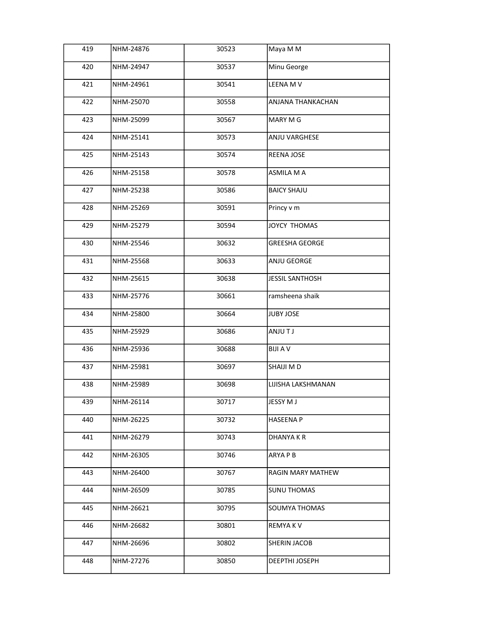| 419 | NHM-24876 | 30523 | Maya M M               |
|-----|-----------|-------|------------------------|
| 420 | NHM-24947 | 30537 | Minu George            |
| 421 | NHM-24961 | 30541 | LEENA M V              |
| 422 | NHM-25070 | 30558 | ANJANA THANKACHAN      |
| 423 | NHM-25099 | 30567 | MARY M G               |
| 424 | NHM-25141 | 30573 | ANJU VARGHESE          |
| 425 | NHM-25143 | 30574 | <b>REENA JOSE</b>      |
| 426 | NHM-25158 | 30578 | ASMILA M A             |
| 427 | NHM-25238 | 30586 | <b>BAICY SHAJU</b>     |
| 428 | NHM-25269 | 30591 | Princy v m             |
| 429 | NHM-25279 | 30594 | JOYCY THOMAS           |
| 430 | NHM-25546 | 30632 | <b>GREESHA GEORGE</b>  |
| 431 | NHM-25568 | 30633 | ANJU GEORGE            |
| 432 | NHM-25615 | 30638 | <b>JESSIL SANTHOSH</b> |
| 433 | NHM-25776 | 30661 | ramsheena shaik        |
| 434 | NHM-25800 | 30664 | <b>JUBY JOSE</b>       |
| 435 | NHM-25929 | 30686 | <b>ANJUTJ</b>          |
| 436 | NHM-25936 | 30688 | <b>BIJI A V</b>        |
| 437 | NHM-25981 | 30697 | SHAIJI M D             |
| 438 | NHM-25989 | 30698 | LIJISHA LAKSHMANAN     |
| 439 | NHM-26114 | 30717 | JESSY M J              |
| 440 | NHM-26225 | 30732 | HASEENA P              |
| 441 | NHM-26279 | 30743 | DHANYA K R             |
| 442 | NHM-26305 | 30746 | ARYA P B               |
| 443 | NHM-26400 | 30767 | RAGIN MARY MATHEW      |
| 444 | NHM-26509 | 30785 | <b>SUNU THOMAS</b>     |
| 445 | NHM-26621 | 30795 | SOUMYA THOMAS          |
| 446 | NHM-26682 | 30801 | REMYA K V              |
| 447 | NHM-26696 | 30802 | SHERIN JACOB           |
| 448 | NHM-27276 | 30850 | DEEPTHI JOSEPH         |
|     |           |       |                        |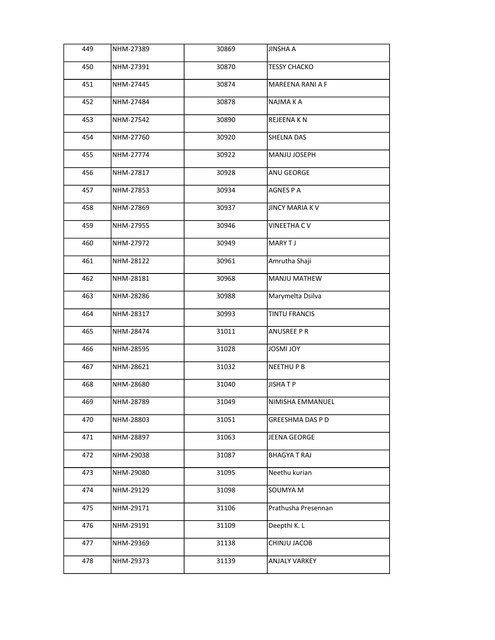| 449 | NHM-27389 | 30869 | <b>JINSHA A</b>        |
|-----|-----------|-------|------------------------|
| 450 | NHM-27391 | 30870 | <b>TESSY CHACKO</b>    |
| 451 | NHM-27445 | 30874 | MAREENA RANI A F       |
| 452 | NHM-27484 | 30878 | NAJMA K A              |
| 453 | NHM-27542 | 30890 | REJEENA K N            |
| 454 | NHM-27760 | 30920 | <b>SHELNA DAS</b>      |
| 455 | NHM-27774 | 30922 | MANJU JOSEPH           |
| 456 | NHM-27817 | 30928 | <b>ANU GEORGE</b>      |
| 457 | NHM-27853 | 30934 | AGNES P A              |
| 458 | NHM-27869 | 30937 | <b>JINCY MARIA K V</b> |
| 459 | NHM-27955 | 30946 | <b>VINEETHA CV</b>     |
| 460 | NHM-27972 | 30949 | MARY TJ                |
| 461 | NHM-28122 | 30961 | Amrutha Shaji          |
| 462 | NHM-28181 | 30968 | MANJU MATHEW           |
| 463 | NHM-28286 | 30988 | Marymelta Dsilva       |
| 464 | NHM-28317 | 30993 | <b>TINTU FRANCIS</b>   |
| 465 | NHM-28474 | 31011 | <b>ANUSREE P R</b>     |
| 466 | NHM-28595 | 31028 | <b>YOL IMSOL</b>       |
| 467 | NHM-28621 | 31032 | <b>NEETHUPB</b>        |
| 468 | NHM-28680 | 31040 | <b>JISHATP</b>         |
| 469 | NHM-28789 | 31049 | NIMISHA EMMANUEL       |
| 470 | NHM-28803 | 31051 | GREESHMA DAS P D       |
| 471 | NHM-28897 | 31063 | JEENA GEORGE           |
| 472 | NHM-29038 | 31087 | <b>BHAGYATRAJ</b>      |
| 473 | NHM-29080 | 31095 | Neethu kurian          |
| 474 | NHM-29129 | 31098 | SOUMYA M               |
| 475 | NHM-29171 | 31106 | Prathusha Presennan    |
| 476 | NHM-29191 | 31109 | Deepthi K. L           |
| 477 | NHM-29369 | 31138 | CHINJU JACOB           |
| 478 | NHM-29373 | 31139 | ANJALY VARKEY          |
|     |           |       |                        |